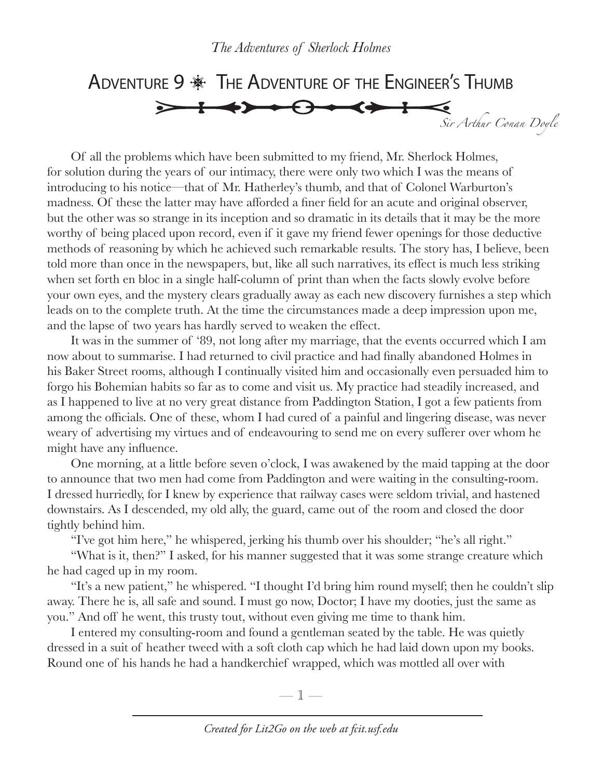ADVENTURE 9  $*$  The ADVENTURE OF THE ENGINEER'S THUMB  $\Theta \rightarrow \leftrightarrow +$ *Sir Arthur Conan Doyle*

Of all the problems which have been submitted to my friend, Mr. Sherlock Holmes, for solution during the years of our intimacy, there were only two which I was the means of introducing to his notice—that of Mr. Hatherley's thumb, and that of Colonel Warburton's madness. Of these the latter may have afforded a finer field for an acute and original observer, but the other was so strange in its inception and so dramatic in its details that it may be the more worthy of being placed upon record, even if it gave my friend fewer openings for those deductive methods of reasoning by which he achieved such remarkable results. The story has, I believe, been told more than once in the newspapers, but, like all such narratives, its effect is much less striking when set forth en bloc in a single half-column of print than when the facts slowly evolve before your own eyes, and the mystery clears gradually away as each new discovery furnishes a step which leads on to the complete truth. At the time the circumstances made a deep impression upon me, and the lapse of two years has hardly served to weaken the effect.

It was in the summer of '89, not long after my marriage, that the events occurred which I am now about to summarise. I had returned to civil practice and had finally abandoned Holmes in his Baker Street rooms, although I continually visited him and occasionally even persuaded him to forgo his Bohemian habits so far as to come and visit us. My practice had steadily increased, and as I happened to live at no very great distance from Paddington Station, I got a few patients from among the officials. One of these, whom I had cured of a painful and lingering disease, was never weary of advertising my virtues and of endeavouring to send me on every sufferer over whom he might have any influence.

One morning, at a little before seven o'clock, I was awakened by the maid tapping at the door to announce that two men had come from Paddington and were waiting in the consulting-room. I dressed hurriedly, for I knew by experience that railway cases were seldom trivial, and hastened downstairs. As I descended, my old ally, the guard, came out of the room and closed the door tightly behind him.

"I've got him here," he whispered, jerking his thumb over his shoulder; "he's all right."

"What is it, then?" I asked, for his manner suggested that it was some strange creature which he had caged up in my room.

"It's a new patient," he whispered. "I thought I'd bring him round myself; then he couldn't slip away. There he is, all safe and sound. I must go now, Doctor; I have my dooties, just the same as you." And off he went, this trusty tout, without even giving me time to thank him.

I entered my consulting-room and found a gentleman seated by the table. He was quietly dressed in a suit of heather tweed with a soft cloth cap which he had laid down upon my books. Round one of his hands he had a handkerchief wrapped, which was mottled all over with

—  $\mathbb{I}$  —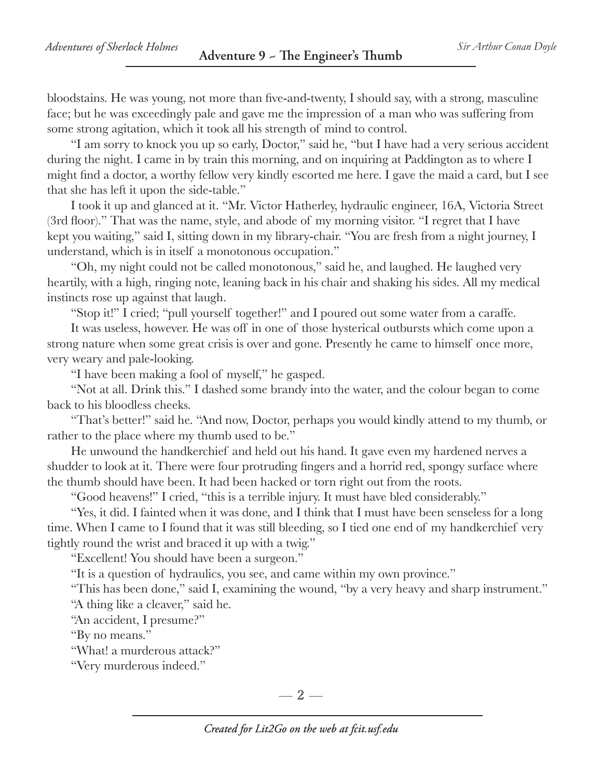bloodstains. He was young, not more than five-and-twenty, I should say, with a strong, masculine face; but he was exceedingly pale and gave me the impression of a man who was suffering from some strong agitation, which it took all his strength of mind to control.

"I am sorry to knock you up so early, Doctor," said he, "but I have had a very serious accident during the night. I came in by train this morning, and on inquiring at Paddington as to where I might find a doctor, a worthy fellow very kindly escorted me here. I gave the maid a card, but I see that she has left it upon the side-table."

I took it up and glanced at it. "Mr. Victor Hatherley, hydraulic engineer, 16A, Victoria Street (3rd floor)." That was the name, style, and abode of my morning visitor. "I regret that I have kept you waiting," said I, sitting down in my library-chair. "You are fresh from a night journey, I understand, which is in itself a monotonous occupation."

"Oh, my night could not be called monotonous," said he, and laughed. He laughed very heartily, with a high, ringing note, leaning back in his chair and shaking his sides. All my medical instincts rose up against that laugh.

"Stop it!" I cried; "pull yourself together!" and I poured out some water from a caraffe.

It was useless, however. He was off in one of those hysterical outbursts which come upon a strong nature when some great crisis is over and gone. Presently he came to himself once more, very weary and pale-looking.

"I have been making a fool of myself," he gasped.

"Not at all. Drink this." I dashed some brandy into the water, and the colour began to come back to his bloodless cheeks.

"That's better!" said he. "And now, Doctor, perhaps you would kindly attend to my thumb, or rather to the place where my thumb used to be."

He unwound the handkerchief and held out his hand. It gave even my hardened nerves a shudder to look at it. There were four protruding fingers and a horrid red, spongy surface where the thumb should have been. It had been hacked or torn right out from the roots.

"Good heavens!" I cried, "this is a terrible injury. It must have bled considerably."

"Yes, it did. I fainted when it was done, and I think that I must have been senseless for a long time. When I came to I found that it was still bleeding, so I tied one end of my handkerchief very tightly round the wrist and braced it up with a twig."

"Excellent! You should have been a surgeon."

"It is a question of hydraulics, you see, and came within my own province."

"This has been done," said I, examining the wound, "by a very heavy and sharp instrument." "A thing like a cleaver," said he.

"An accident, I presume?"

"By no means."

"What! a murderous attack?"

"Very murderous indeed."

 $-2-$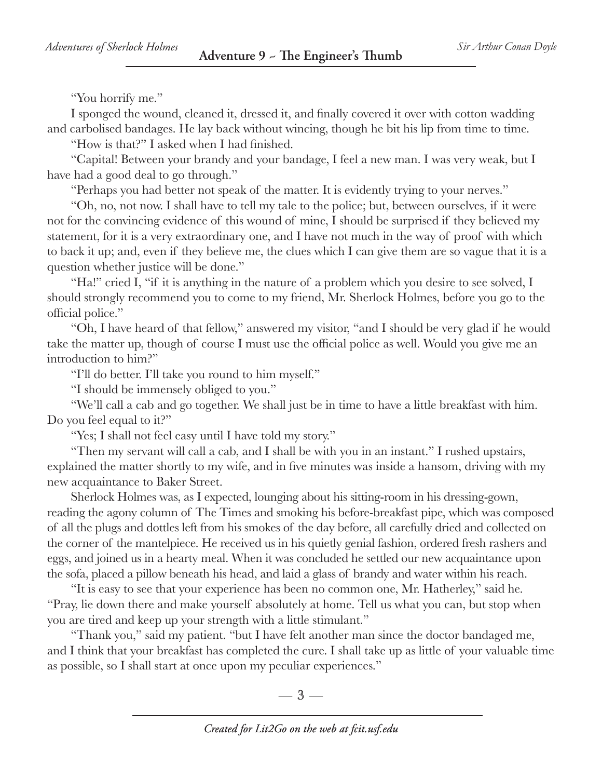"You horrify me."

I sponged the wound, cleaned it, dressed it, and finally covered it over with cotton wadding and carbolised bandages. He lay back without wincing, though he bit his lip from time to time.

"How is that?" I asked when I had finished.

"Capital! Between your brandy and your bandage, I feel a new man. I was very weak, but I have had a good deal to go through."

"Perhaps you had better not speak of the matter. It is evidently trying to your nerves."

"Oh, no, not now. I shall have to tell my tale to the police; but, between ourselves, if it were not for the convincing evidence of this wound of mine, I should be surprised if they believed my statement, for it is a very extraordinary one, and I have not much in the way of proof with which to back it up; and, even if they believe me, the clues which I can give them are so vague that it is a question whether justice will be done."

"Ha!" cried I, "if it is anything in the nature of a problem which you desire to see solved, I should strongly recommend you to come to my friend, Mr. Sherlock Holmes, before you go to the official police."

"Oh, I have heard of that fellow," answered my visitor, "and I should be very glad if he would take the matter up, though of course I must use the official police as well. Would you give me an introduction to him?"

"I'll do better. I'll take you round to him myself."

"I should be immensely obliged to you."

"We'll call a cab and go together. We shall just be in time to have a little breakfast with him. Do you feel equal to it?"

"Yes; I shall not feel easy until I have told my story."

"Then my servant will call a cab, and I shall be with you in an instant." I rushed upstairs, explained the matter shortly to my wife, and in five minutes was inside a hansom, driving with my new acquaintance to Baker Street.

Sherlock Holmes was, as I expected, lounging about his sitting-room in his dressing-gown, reading the agony column of The Times and smoking his before-breakfast pipe, which was composed of all the plugs and dottles left from his smokes of the day before, all carefully dried and collected on the corner of the mantelpiece. He received us in his quietly genial fashion, ordered fresh rashers and eggs, and joined us in a hearty meal. When it was concluded he settled our new acquaintance upon the sofa, placed a pillow beneath his head, and laid a glass of brandy and water within his reach.

"It is easy to see that your experience has been no common one, Mr. Hatherley," said he. "Pray, lie down there and make yourself absolutely at home. Tell us what you can, but stop when you are tired and keep up your strength with a little stimulant."

"Thank you," said my patient. "but I have felt another man since the doctor bandaged me, and I think that your breakfast has completed the cure. I shall take up as little of your valuable time as possible, so I shall start at once upon my peculiar experiences."

 $-3-$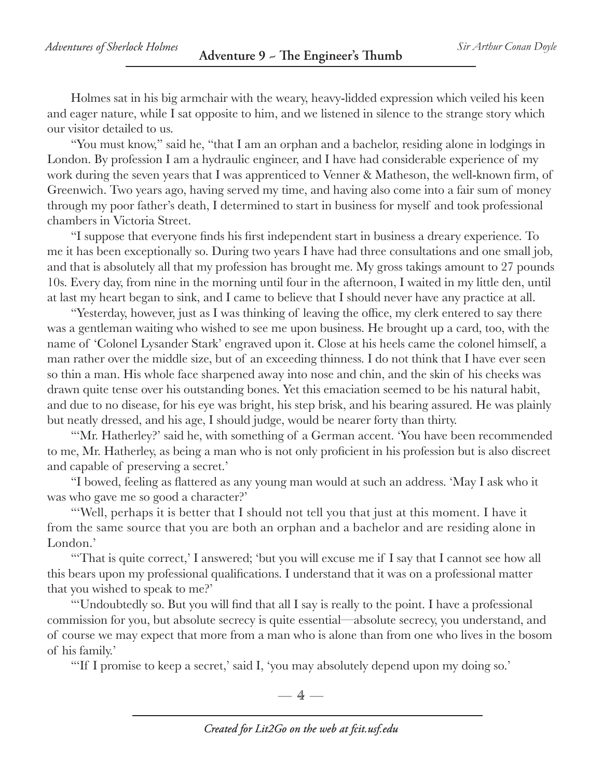Holmes sat in his big armchair with the weary, heavy-lidded expression which veiled his keen and eager nature, while I sat opposite to him, and we listened in silence to the strange story which our visitor detailed to us.

"You must know," said he, "that I am an orphan and a bachelor, residing alone in lodgings in London. By profession I am a hydraulic engineer, and I have had considerable experience of my work during the seven years that I was apprenticed to Venner & Matheson, the well-known firm, of Greenwich. Two years ago, having served my time, and having also come into a fair sum of money through my poor father's death, I determined to start in business for myself and took professional chambers in Victoria Street.

"I suppose that everyone finds his first independent start in business a dreary experience. To me it has been exceptionally so. During two years I have had three consultations and one small job, and that is absolutely all that my profession has brought me. My gross takings amount to 27 pounds 10s. Every day, from nine in the morning until four in the afternoon, I waited in my little den, until at last my heart began to sink, and I came to believe that I should never have any practice at all.

"Yesterday, however, just as I was thinking of leaving the office, my clerk entered to say there was a gentleman waiting who wished to see me upon business. He brought up a card, too, with the name of 'Colonel Lysander Stark' engraved upon it. Close at his heels came the colonel himself, a man rather over the middle size, but of an exceeding thinness. I do not think that I have ever seen so thin a man. His whole face sharpened away into nose and chin, and the skin of his cheeks was drawn quite tense over his outstanding bones. Yet this emaciation seemed to be his natural habit, and due to no disease, for his eye was bright, his step brisk, and his bearing assured. He was plainly but neatly dressed, and his age, I should judge, would be nearer forty than thirty.

"'Mr. Hatherley?' said he, with something of a German accent. 'You have been recommended to me, Mr. Hatherley, as being a man who is not only proficient in his profession but is also discreet and capable of preserving a secret.'

"I bowed, feeling as flattered as any young man would at such an address. 'May I ask who it was who gave me so good a character?'

"'Well, perhaps it is better that I should not tell you that just at this moment. I have it from the same source that you are both an orphan and a bachelor and are residing alone in London.'

"That is quite correct,' I answered; 'but you will excuse me if I say that I cannot see how all this bears upon my professional qualifications. I understand that it was on a professional matter that you wished to speak to me?'

"'Undoubtedly so. But you will find that all I say is really to the point. I have a professional commission for you, but absolute secrecy is quite essential—absolute secrecy, you understand, and of course we may expect that more from a man who is alone than from one who lives in the bosom of his family.'

"If I promise to keep a secret,' said I, 'you may absolutely depend upon my doing so.'

 $-4-$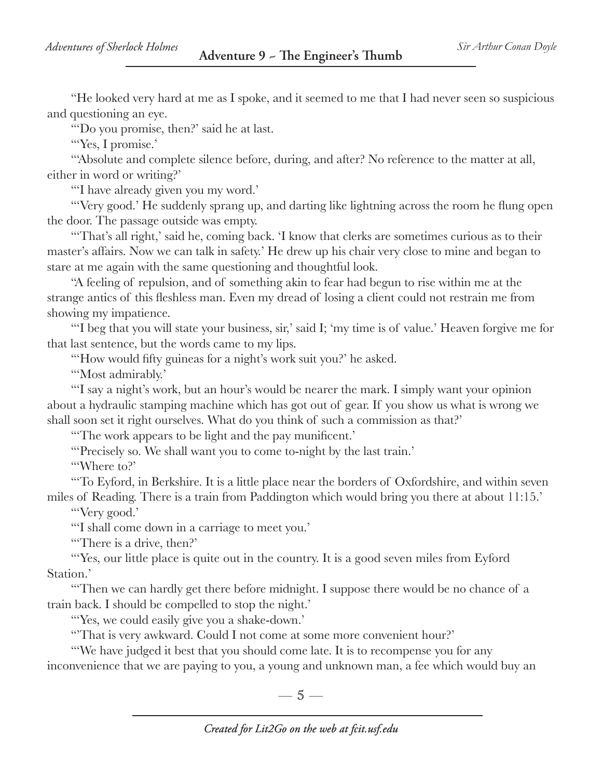"He looked very hard at me as I spoke, and it seemed to me that I had never seen so suspicious and questioning an eye.

"'Do you promise, then?' said he at last.

"Yes, I promise."

"'Absolute and complete silence before, during, and after? No reference to the matter at all, either in word or writing?'

"'I have already given you my word.'

"'Very good.' He suddenly sprang up, and darting like lightning across the room he flung open the door. The passage outside was empty.

"That's all right,' said he, coming back. 'I know that clerks are sometimes curious as to their master's affairs. Now we can talk in safety.' He drew up his chair very close to mine and began to stare at me again with the same questioning and thoughtful look.

"A feeling of repulsion, and of something akin to fear had begun to rise within me at the strange antics of this fleshless man. Even my dread of losing a client could not restrain me from showing my impatience.

"'I beg that you will state your business, sir,' said I; 'my time is of value.' Heaven forgive me for that last sentence, but the words came to my lips.

"How would fifty guineas for a night's work suit you?' he asked.

"Most admirably."

"'I say a night's work, but an hour's would be nearer the mark. I simply want your opinion about a hydraulic stamping machine which has got out of gear. If you show us what is wrong we shall soon set it right ourselves. What do you think of such a commission as that?'

"The work appears to be light and the pay munificent."

"Precisely so. We shall want you to come to-night by the last train."

"'Where to?'

"'To Eyford, in Berkshire. It is a little place near the borders of Oxfordshire, and within seven miles of Reading. There is a train from Paddington which would bring you there at about 11:15.'

"'Very good.'

"'I shall come down in a carriage to meet you.'

"'There is a drive, then?'

"Yes, our little place is quite out in the country. It is a good seven miles from Eyford Station.'

"'Then we can hardly get there before midnight. I suppose there would be no chance of a train back. I should be compelled to stop the night.'

"'Yes, we could easily give you a shake-down.'

"That is very awkward. Could I not come at some more convenient hour?"

"'We have judged it best that you should come late. It is to recompense you for any inconvenience that we are paying to you, a young and unknown man, a fee which would buy an

 $-5-$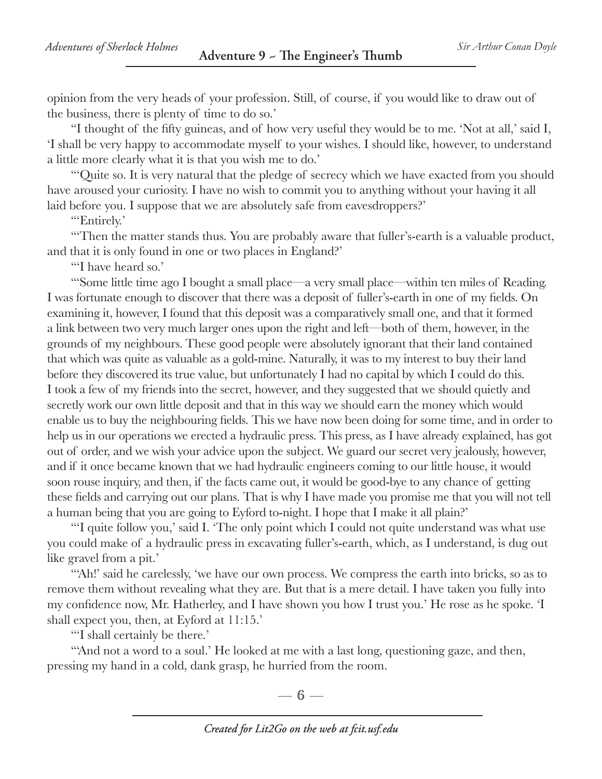opinion from the very heads of your profession. Still, of course, if you would like to draw out of the business, there is plenty of time to do so.'

"I thought of the fifty guineas, and of how very useful they would be to me. 'Not at all,' said I, 'I shall be very happy to accommodate myself to your wishes. I should like, however, to understand a little more clearly what it is that you wish me to do.'

"'Quite so. It is very natural that the pledge of secrecy which we have exacted from you should have aroused your curiosity. I have no wish to commit you to anything without your having it all laid before you. I suppose that we are absolutely safe from eavesdroppers?'

"'Entirely.'

"'Then the matter stands thus. You are probably aware that fuller's-earth is a valuable product, and that it is only found in one or two places in England?'

"'I have heard so.'

"'Some little time ago I bought a small place—a very small place—within ten miles of Reading. I was fortunate enough to discover that there was a deposit of fuller's-earth in one of my fields. On examining it, however, I found that this deposit was a comparatively small one, and that it formed a link between two very much larger ones upon the right and left—both of them, however, in the grounds of my neighbours. These good people were absolutely ignorant that their land contained that which was quite as valuable as a gold-mine. Naturally, it was to my interest to buy their land before they discovered its true value, but unfortunately I had no capital by which I could do this. I took a few of my friends into the secret, however, and they suggested that we should quietly and secretly work our own little deposit and that in this way we should earn the money which would enable us to buy the neighbouring fields. This we have now been doing for some time, and in order to help us in our operations we erected a hydraulic press. This press, as I have already explained, has got out of order, and we wish your advice upon the subject. We guard our secret very jealously, however, and if it once became known that we had hydraulic engineers coming to our little house, it would soon rouse inquiry, and then, if the facts came out, it would be good-bye to any chance of getting these fields and carrying out our plans. That is why I have made you promise me that you will not tell a human being that you are going to Eyford to-night. I hope that I make it all plain?'

"'I quite follow you,' said I. 'The only point which I could not quite understand was what use you could make of a hydraulic press in excavating fuller's-earth, which, as I understand, is dug out like gravel from a pit.'

"'Ah!' said he carelessly, 'we have our own process. We compress the earth into bricks, so as to remove them without revealing what they are. But that is a mere detail. I have taken you fully into my confidence now, Mr. Hatherley, and I have shown you how I trust you.' He rose as he spoke. 'I shall expect you, then, at Eyford at 11:15.'

"'I shall certainly be there.'

"And not a word to a soul.' He looked at me with a last long, questioning gaze, and then, pressing my hand in a cold, dank grasp, he hurried from the room.

 $-6-$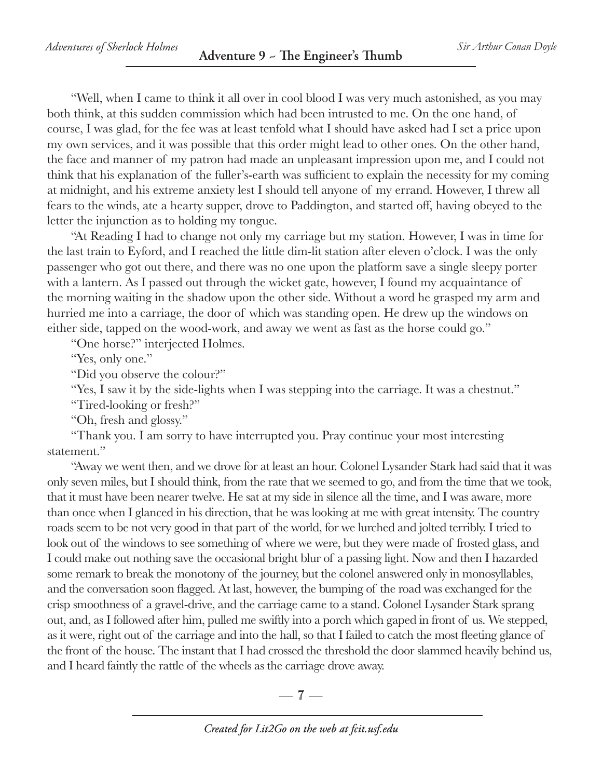"Well, when I came to think it all over in cool blood I was very much astonished, as you may both think, at this sudden commission which had been intrusted to me. On the one hand, of course, I was glad, for the fee was at least tenfold what I should have asked had I set a price upon my own services, and it was possible that this order might lead to other ones. On the other hand, the face and manner of my patron had made an unpleasant impression upon me, and I could not think that his explanation of the fuller's-earth was sufficient to explain the necessity for my coming at midnight, and his extreme anxiety lest I should tell anyone of my errand. However, I threw all fears to the winds, ate a hearty supper, drove to Paddington, and started off, having obeyed to the letter the injunction as to holding my tongue.

"At Reading I had to change not only my carriage but my station. However, I was in time for the last train to Eyford, and I reached the little dim-lit station after eleven o'clock. I was the only passenger who got out there, and there was no one upon the platform save a single sleepy porter with a lantern. As I passed out through the wicket gate, however, I found my acquaintance of the morning waiting in the shadow upon the other side. Without a word he grasped my arm and hurried me into a carriage, the door of which was standing open. He drew up the windows on either side, tapped on the wood-work, and away we went as fast as the horse could go."

"One horse?" interjected Holmes.

"Yes, only one."

"Did you observe the colour?"

"Yes, I saw it by the side-lights when I was stepping into the carriage. It was a chestnut."

"Tired-looking or fresh?"

"Oh, fresh and glossy."

"Thank you. I am sorry to have interrupted you. Pray continue your most interesting statement."

"Away we went then, and we drove for at least an hour. Colonel Lysander Stark had said that it was only seven miles, but I should think, from the rate that we seemed to go, and from the time that we took, that it must have been nearer twelve. He sat at my side in silence all the time, and I was aware, more than once when I glanced in his direction, that he was looking at me with great intensity. The country roads seem to be not very good in that part of the world, for we lurched and jolted terribly. I tried to look out of the windows to see something of where we were, but they were made of frosted glass, and I could make out nothing save the occasional bright blur of a passing light. Now and then I hazarded some remark to break the monotony of the journey, but the colonel answered only in monosyllables, and the conversation soon flagged. At last, however, the bumping of the road was exchanged for the crisp smoothness of a gravel-drive, and the carriage came to a stand. Colonel Lysander Stark sprang out, and, as I followed after him, pulled me swiftly into a porch which gaped in front of us. We stepped, as it were, right out of the carriage and into the hall, so that I failed to catch the most fleeting glance of the front of the house. The instant that I had crossed the threshold the door slammed heavily behind us, and I heard faintly the rattle of the wheels as the carriage drove away.

 $-7-$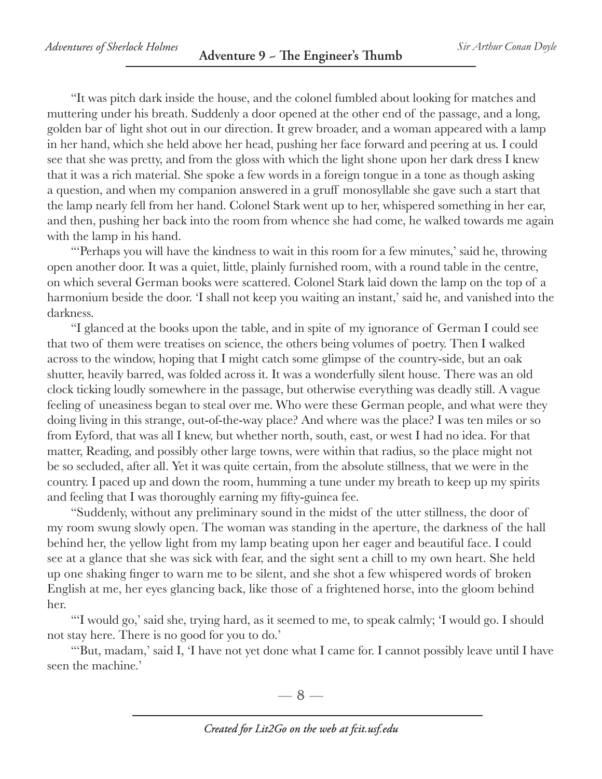"It was pitch dark inside the house, and the colonel fumbled about looking for matches and muttering under his breath. Suddenly a door opened at the other end of the passage, and a long, golden bar of light shot out in our direction. It grew broader, and a woman appeared with a lamp in her hand, which she held above her head, pushing her face forward and peering at us. I could see that she was pretty, and from the gloss with which the light shone upon her dark dress I knew that it was a rich material. She spoke a few words in a foreign tongue in a tone as though asking a question, and when my companion answered in a gruff monosyllable she gave such a start that the lamp nearly fell from her hand. Colonel Stark went up to her, whispered something in her ear, and then, pushing her back into the room from whence she had come, he walked towards me again with the lamp in his hand.

"'Perhaps you will have the kindness to wait in this room for a few minutes,' said he, throwing open another door. It was a quiet, little, plainly furnished room, with a round table in the centre, on which several German books were scattered. Colonel Stark laid down the lamp on the top of a harmonium beside the door. I shall not keep you waiting an instant,' said he, and vanished into the darkness.

"I glanced at the books upon the table, and in spite of my ignorance of German I could see that two of them were treatises on science, the others being volumes of poetry. Then I walked across to the window, hoping that I might catch some glimpse of the country-side, but an oak shutter, heavily barred, was folded across it. It was a wonderfully silent house. There was an old clock ticking loudly somewhere in the passage, but otherwise everything was deadly still. A vague feeling of uneasiness began to steal over me. Who were these German people, and what were they doing living in this strange, out-of-the-way place? And where was the place? I was ten miles or so from Eyford, that was all I knew, but whether north, south, east, or west I had no idea. For that matter, Reading, and possibly other large towns, were within that radius, so the place might not be so secluded, after all. Yet it was quite certain, from the absolute stillness, that we were in the country. I paced up and down the room, humming a tune under my breath to keep up my spirits and feeling that I was thoroughly earning my fifty-guinea fee.

"Suddenly, without any preliminary sound in the midst of the utter stillness, the door of my room swung slowly open. The woman was standing in the aperture, the darkness of the hall behind her, the yellow light from my lamp beating upon her eager and beautiful face. I could see at a glance that she was sick with fear, and the sight sent a chill to my own heart. She held up one shaking finger to warn me to be silent, and she shot a few whispered words of broken English at me, her eyes glancing back, like those of a frightened horse, into the gloom behind her.

"'I would go,' said she, trying hard, as it seemed to me, to speak calmly; 'I would go. I should not stay here. There is no good for you to do.'

"'But, madam,' said I, 'I have not yet done what I came for. I cannot possibly leave until I have seen the machine.'

 $-8-$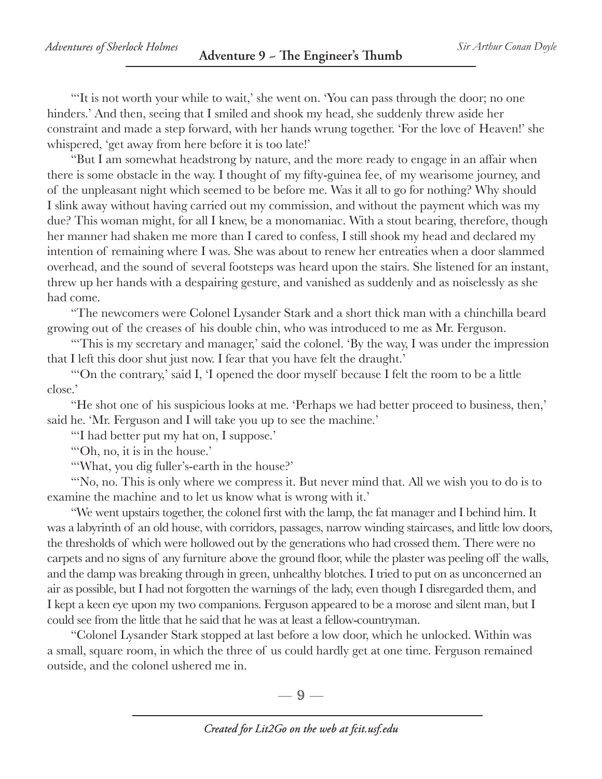"'It is not worth your while to wait,' she went on. 'You can pass through the door; no one hinders.' And then, seeing that I smiled and shook my head, she suddenly threw aside her constraint and made a step forward, with her hands wrung together. 'For the love of Heaven!' she whispered, 'get away from here before it is too late!'

"But I am somewhat headstrong by nature, and the more ready to engage in an affair when there is some obstacle in the way. I thought of my fifty-guinea fee, of my wearisome journey, and of the unpleasant night which seemed to be before me. Was it all to go for nothing? Why should I slink away without having carried out my commission, and without the payment which was my due? This woman might, for all I knew, be a monomaniac. With a stout bearing, therefore, though her manner had shaken me more than I cared to confess, I still shook my head and declared my intention of remaining where I was. She was about to renew her entreaties when a door slammed overhead, and the sound of several footsteps was heard upon the stairs. She listened for an instant, threw up her hands with a despairing gesture, and vanished as suddenly and as noiselessly as she had come.

"The newcomers were Colonel Lysander Stark and a short thick man with a chinchilla beard growing out of the creases of his double chin, who was introduced to me as Mr. Ferguson.

"'This is my secretary and manager,' said the colonel. 'By the way, I was under the impression that I left this door shut just now. I fear that you have felt the draught.'

"'On the contrary,' said I, 'I opened the door myself because I felt the room to be a little close.'

"He shot one of his suspicious looks at me. 'Perhaps we had better proceed to business, then,' said he. 'Mr. Ferguson and I will take you up to see the machine.'

"'I had better put my hat on, I suppose.'

"'Oh, no, it is in the house.'

"'What, you dig fuller's-earth in the house?'

"No, no. This is only where we compress it. But never mind that. All we wish you to do is to examine the machine and to let us know what is wrong with it.'

"We went upstairs together, the colonel first with the lamp, the fat manager and I behind him. It was a labyrinth of an old house, with corridors, passages, narrow winding staircases, and little low doors, the thresholds of which were hollowed out by the generations who had crossed them. There were no carpets and no signs of any furniture above the ground floor, while the plaster was peeling off the walls, and the damp was breaking through in green, unhealthy blotches. I tried to put on as unconcerned an air as possible, but I had not forgotten the warnings of the lady, even though I disregarded them, and I kept a keen eye upon my two companions. Ferguson appeared to be a morose and silent man, but I could see from the little that he said that he was at least a fellow-countryman.

"Colonel Lysander Stark stopped at last before a low door, which he unlocked. Within was a small, square room, in which the three of us could hardly get at one time. Ferguson remained outside, and the colonel ushered me in.

 $\Box$  9 —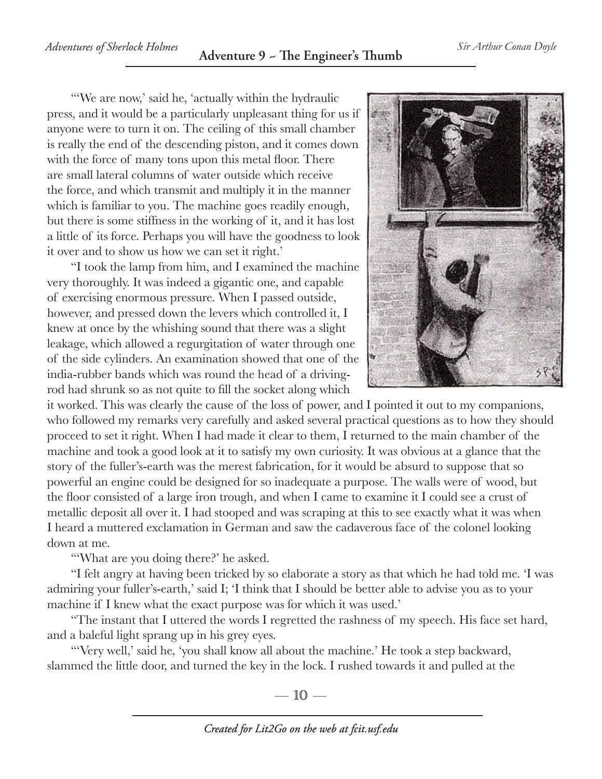"We are now,' said he, 'actually within the hydraulic press, and it would be a particularly unpleasant thing for us if anyone were to turn it on. The ceiling of this small chamber is really the end of the descending piston, and it comes down with the force of many tons upon this metal floor. There are small lateral columns of water outside which receive the force, and which transmit and multiply it in the manner which is familiar to you. The machine goes readily enough, but there is some stiffness in the working of it, and it has lost a little of its force. Perhaps you will have the goodness to look it over and to show us how we can set it right.'

"I took the lamp from him, and I examined the machine very thoroughly. It was indeed a gigantic one, and capable of exercising enormous pressure. When I passed outside, however, and pressed down the levers which controlled it, I knew at once by the whishing sound that there was a slight leakage, which allowed a regurgitation of water through one of the side cylinders. An examination showed that one of the india-rubber bands which was round the head of a drivingrod had shrunk so as not quite to fill the socket along which



it worked. This was clearly the cause of the loss of power, and I pointed it out to my companions, who followed my remarks very carefully and asked several practical questions as to how they should proceed to set it right. When I had made it clear to them, I returned to the main chamber of the machine and took a good look at it to satisfy my own curiosity. It was obvious at a glance that the story of the fuller's-earth was the merest fabrication, for it would be absurd to suppose that so powerful an engine could be designed for so inadequate a purpose. The walls were of wood, but the floor consisted of a large iron trough, and when I came to examine it I could see a crust of metallic deposit all over it. I had stooped and was scraping at this to see exactly what it was when I heard a muttered exclamation in German and saw the cadaverous face of the colonel looking down at me.

"What are you doing there?' he asked.

"I felt angry at having been tricked by so elaborate a story as that which he had told me. 'I was admiring your fuller's-earth,' said I; 'I think that I should be better able to advise you as to your machine if I knew what the exact purpose was for which it was used.'

"The instant that I uttered the words I regretted the rashness of my speech. His face set hard, and a baleful light sprang up in his grey eyes.

"'Very well,' said he, 'you shall know all about the machine.' He took a step backward, slammed the little door, and turned the key in the lock. I rushed towards it and pulled at the

 $-10-$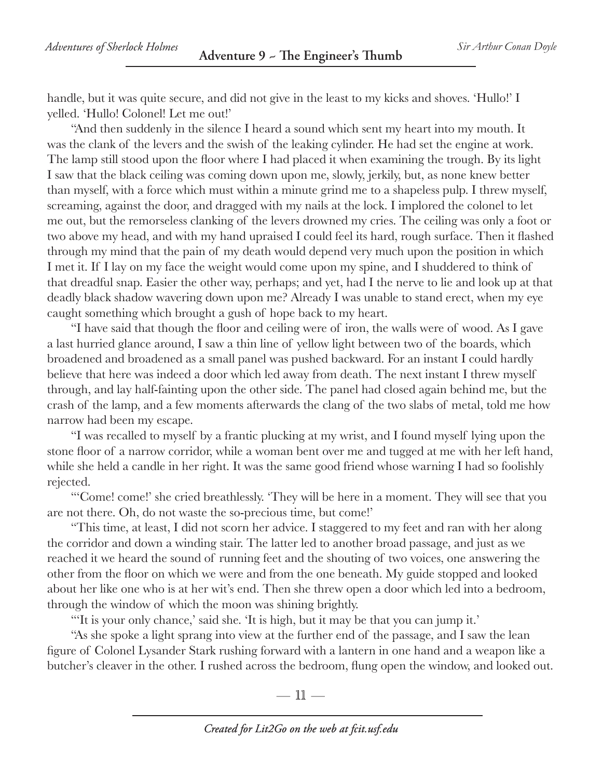handle, but it was quite secure, and did not give in the least to my kicks and shoves. 'Hullo!' I yelled. 'Hullo! Colonel! Let me out!'

"And then suddenly in the silence I heard a sound which sent my heart into my mouth. It was the clank of the levers and the swish of the leaking cylinder. He had set the engine at work. The lamp still stood upon the floor where I had placed it when examining the trough. By its light I saw that the black ceiling was coming down upon me, slowly, jerkily, but, as none knew better than myself, with a force which must within a minute grind me to a shapeless pulp. I threw myself, screaming, against the door, and dragged with my nails at the lock. I implored the colonel to let me out, but the remorseless clanking of the levers drowned my cries. The ceiling was only a foot or two above my head, and with my hand upraised I could feel its hard, rough surface. Then it flashed through my mind that the pain of my death would depend very much upon the position in which I met it. If I lay on my face the weight would come upon my spine, and I shuddered to think of that dreadful snap. Easier the other way, perhaps; and yet, had I the nerve to lie and look up at that deadly black shadow wavering down upon me? Already I was unable to stand erect, when my eye caught something which brought a gush of hope back to my heart.

"I have said that though the floor and ceiling were of iron, the walls were of wood. As I gave a last hurried glance around, I saw a thin line of yellow light between two of the boards, which broadened and broadened as a small panel was pushed backward. For an instant I could hardly believe that here was indeed a door which led away from death. The next instant I threw myself through, and lay half-fainting upon the other side. The panel had closed again behind me, but the crash of the lamp, and a few moments afterwards the clang of the two slabs of metal, told me how narrow had been my escape.

"I was recalled to myself by a frantic plucking at my wrist, and I found myself lying upon the stone floor of a narrow corridor, while a woman bent over me and tugged at me with her left hand, while she held a candle in her right. It was the same good friend whose warning I had so foolishly rejected.

"'Come! come!' she cried breathlessly. 'They will be here in a moment. They will see that you are not there. Oh, do not waste the so-precious time, but come!'

"This time, at least, I did not scorn her advice. I staggered to my feet and ran with her along the corridor and down a winding stair. The latter led to another broad passage, and just as we reached it we heard the sound of running feet and the shouting of two voices, one answering the other from the floor on which we were and from the one beneath. My guide stopped and looked about her like one who is at her wit's end. Then she threw open a door which led into a bedroom, through the window of which the moon was shining brightly.

"'It is your only chance,' said she. 'It is high, but it may be that you can jump it.'

"As she spoke a light sprang into view at the further end of the passage, and I saw the lean figure of Colonel Lysander Stark rushing forward with a lantern in one hand and a weapon like a butcher's cleaver in the other. I rushed across the bedroom, flung open the window, and looked out.

—  $\mathbb{11}$  —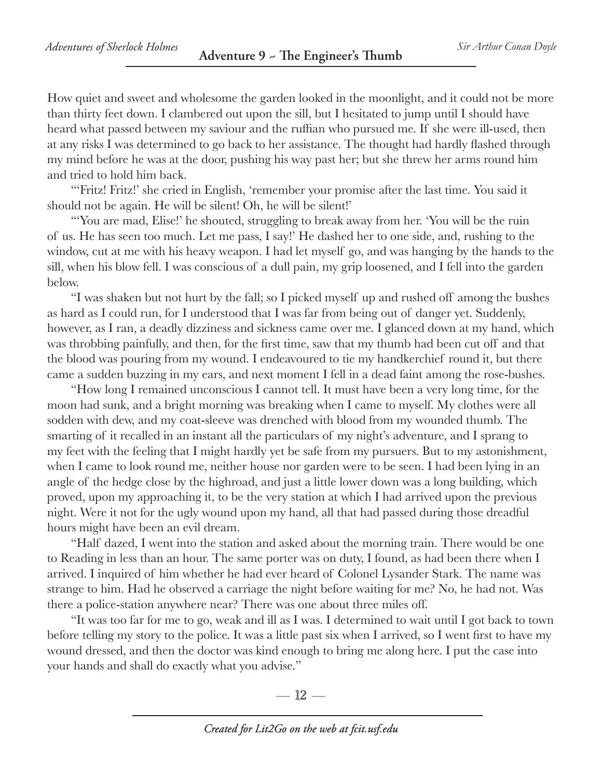How quiet and sweet and wholesome the garden looked in the moonlight, and it could not be more than thirty feet down. I clambered out upon the sill, but I hesitated to jump until I should have heard what passed between my saviour and the ruffian who pursued me. If she were ill-used, then at any risks I was determined to go back to her assistance. The thought had hardly flashed through my mind before he was at the door, pushing his way past her; but she threw her arms round him and tried to hold him back.

"'Fritz! Fritz!' she cried in English, 'remember your promise after the last time. You said it should not be again. He will be silent! Oh, he will be silent!'

"'You are mad, Elise!' he shouted, struggling to break away from her. 'You will be the ruin of us. He has seen too much. Let me pass, I say!' He dashed her to one side, and, rushing to the window, cut at me with his heavy weapon. I had let myself go, and was hanging by the hands to the sill, when his blow fell. I was conscious of a dull pain, my grip loosened, and I fell into the garden below.

"I was shaken but not hurt by the fall; so I picked myself up and rushed off among the bushes as hard as I could run, for I understood that I was far from being out of danger yet. Suddenly, however, as I ran, a deadly dizziness and sickness came over me. I glanced down at my hand, which was throbbing painfully, and then, for the first time, saw that my thumb had been cut off and that the blood was pouring from my wound. I endeavoured to tie my handkerchief round it, but there came a sudden buzzing in my ears, and next moment I fell in a dead faint among the rose-bushes.

"How long I remained unconscious I cannot tell. It must have been a very long time, for the moon had sunk, and a bright morning was breaking when I came to myself. My clothes were all sodden with dew, and my coat-sleeve was drenched with blood from my wounded thumb. The smarting of it recalled in an instant all the particulars of my night's adventure, and I sprang to my feet with the feeling that I might hardly yet be safe from my pursuers. But to my astonishment, when I came to look round me, neither house nor garden were to be seen. I had been lying in an angle of the hedge close by the highroad, and just a little lower down was a long building, which proved, upon my approaching it, to be the very station at which I had arrived upon the previous night. Were it not for the ugly wound upon my hand, all that had passed during those dreadful hours might have been an evil dream.

"Half dazed, I went into the station and asked about the morning train. There would be one to Reading in less than an hour. The same porter was on duty, I found, as had been there when I arrived. I inquired of him whether he had ever heard of Colonel Lysander Stark. The name was strange to him. Had he observed a carriage the night before waiting for me? No, he had not. Was there a police-station anywhere near? There was one about three miles off.

"It was too far for me to go, weak and ill as I was. I determined to wait until I got back to town before telling my story to the police. It was a little past six when I arrived, so I went first to have my wound dressed, and then the doctor was kind enough to bring me along here. I put the case into your hands and shall do exactly what you advise."

 $=$  12  $-$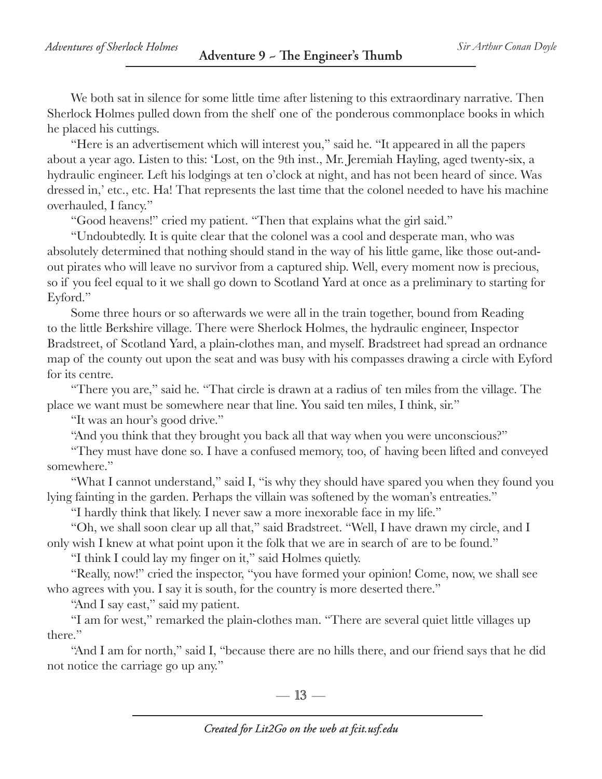We both sat in silence for some little time after listening to this extraordinary narrative. Then Sherlock Holmes pulled down from the shelf one of the ponderous commonplace books in which he placed his cuttings.

"Here is an advertisement which will interest you," said he. "It appeared in all the papers about a year ago. Listen to this: 'Lost, on the 9th inst., Mr. Jeremiah Hayling, aged twenty-six, a hydraulic engineer. Left his lodgings at ten o'clock at night, and has not been heard of since. Was dressed in,' etc., etc. Ha! That represents the last time that the colonel needed to have his machine overhauled, I fancy."

"Good heavens!" cried my patient. "Then that explains what the girl said."

"Undoubtedly. It is quite clear that the colonel was a cool and desperate man, who was absolutely determined that nothing should stand in the way of his little game, like those out-andout pirates who will leave no survivor from a captured ship. Well, every moment now is precious, so if you feel equal to it we shall go down to Scotland Yard at once as a preliminary to starting for Eyford."

Some three hours or so afterwards we were all in the train together, bound from Reading to the little Berkshire village. There were Sherlock Holmes, the hydraulic engineer, Inspector Bradstreet, of Scotland Yard, a plain-clothes man, and myself. Bradstreet had spread an ordnance map of the county out upon the seat and was busy with his compasses drawing a circle with Eyford for its centre.

"There you are," said he. "That circle is drawn at a radius of ten miles from the village. The place we want must be somewhere near that line. You said ten miles, I think, sir."

"It was an hour's good drive."

"And you think that they brought you back all that way when you were unconscious?"

"They must have done so. I have a confused memory, too, of having been lifted and conveyed somewhere."

"What I cannot understand," said I, "is why they should have spared you when they found you lying fainting in the garden. Perhaps the villain was softened by the woman's entreaties."

"I hardly think that likely. I never saw a more inexorable face in my life."

"Oh, we shall soon clear up all that," said Bradstreet. "Well, I have drawn my circle, and I only wish I knew at what point upon it the folk that we are in search of are to be found."

"I think I could lay my finger on it," said Holmes quietly.

"Really, now!" cried the inspector, "you have formed your opinion! Come, now, we shall see who agrees with you. I say it is south, for the country is more deserted there."

"And I say east," said my patient.

"I am for west," remarked the plain-clothes man. "There are several quiet little villages up there."

"And I am for north," said I, "because there are no hills there, and our friend says that he did not notice the carriage go up any."

 $-13-$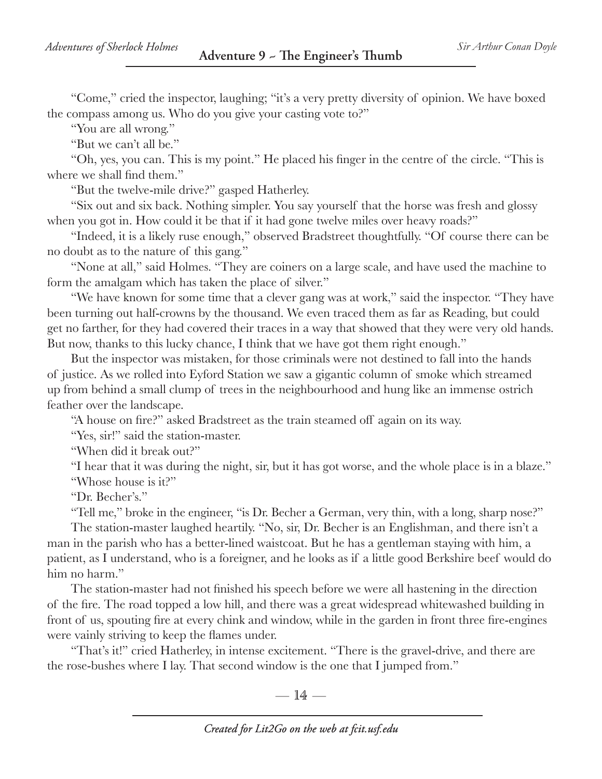"Come," cried the inspector, laughing; "it's a very pretty diversity of opinion. We have boxed the compass among us. Who do you give your casting vote to?"

"You are all wrong."

"But we can't all be."

"Oh, yes, you can. This is my point." He placed his finger in the centre of the circle. "This is where we shall find them."

"But the twelve-mile drive?" gasped Hatherley.

"Six out and six back. Nothing simpler. You say yourself that the horse was fresh and glossy when you got in. How could it be that if it had gone twelve miles over heavy roads?"

"Indeed, it is a likely ruse enough," observed Bradstreet thoughtfully. "Of course there can be no doubt as to the nature of this gang."

"None at all," said Holmes. "They are coiners on a large scale, and have used the machine to form the amalgam which has taken the place of silver."

"We have known for some time that a clever gang was at work," said the inspector. "They have been turning out half-crowns by the thousand. We even traced them as far as Reading, but could get no farther, for they had covered their traces in a way that showed that they were very old hands. But now, thanks to this lucky chance, I think that we have got them right enough."

But the inspector was mistaken, for those criminals were not destined to fall into the hands of justice. As we rolled into Eyford Station we saw a gigantic column of smoke which streamed up from behind a small clump of trees in the neighbourhood and hung like an immense ostrich feather over the landscape.

"A house on fire?" asked Bradstreet as the train steamed off again on its way.

"Yes, sir!" said the station-master.

"When did it break out?"

"I hear that it was during the night, sir, but it has got worse, and the whole place is in a blaze." "Whose house is it?"

"Dr. Becher's."

"Tell me," broke in the engineer, "is Dr. Becher a German, very thin, with a long, sharp nose?"

The station-master laughed heartily. "No, sir, Dr. Becher is an Englishman, and there isn't a man in the parish who has a better-lined waistcoat. But he has a gentleman staying with him, a patient, as I understand, who is a foreigner, and he looks as if a little good Berkshire beef would do him no harm."

The station-master had not finished his speech before we were all hastening in the direction of the fire. The road topped a low hill, and there was a great widespread whitewashed building in front of us, spouting fire at every chink and window, while in the garden in front three fire-engines were vainly striving to keep the flames under.

"That's it!" cried Hatherley, in intense excitement. "There is the gravel-drive, and there are the rose-bushes where I lay. That second window is the one that I jumped from."

 $= 14 -$